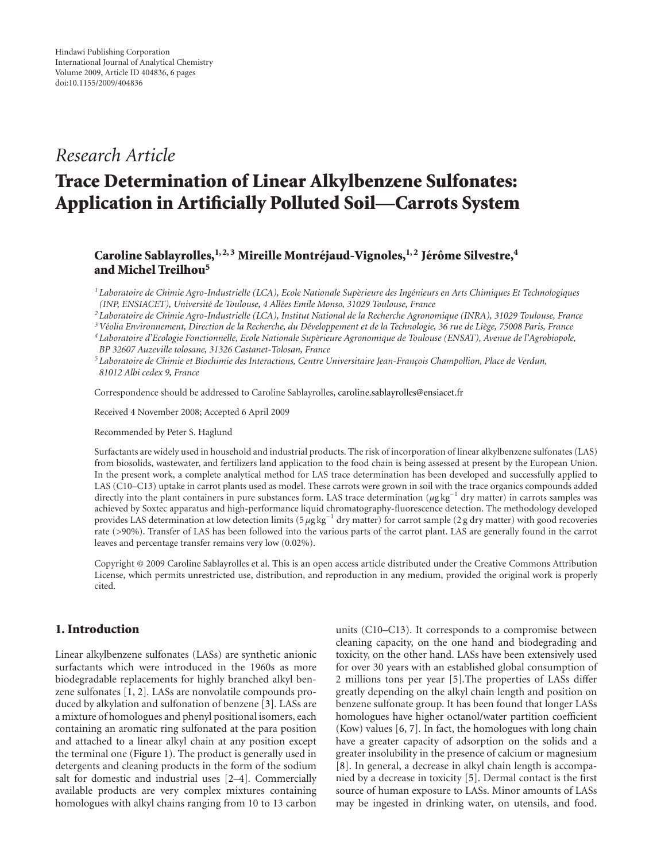## *Research Article*

# **Trace Determination of Linear Alkylbenzene Sulfonates: Application in Artificially Polluted Soil—Carrots System**

### **Caroline Sablayrolles,** <sup>1, 2, 3</sup> Mireille Montréjaud-Vignoles, <sup>1, 2</sup> Jérôme Silvestre, <sup>4</sup> **and Michel Treilhou5**

<sup>1</sup> Laboratoire de Chimie Agro-Industrielle (LCA), Ecole Nationale Supèrieure des Ingénieurs en Arts Chimiques Et Technologiques *(INP, ENSIACET), Universit´e de Toulouse, 4 All´ees Emile Monso, 31029 Toulouse, France*

*<sup>2</sup> Laboratoire de Chimie Agro-Industrielle (LCA), Institut National de la Recherche Agronomique (INRA), 31029 Toulouse, France*

*3V´eolia Environnement, Direction de la Recherche, du D´eveloppement et de la Technologie, 36 rue de Li`ege, 75008 Paris, France*

*<sup>4</sup> Laboratoire d'Ecologie Fonctionnelle, Ecole Nationale Sup`erieure Agronomique de Toulouse (ENSAT), Avenue de l'Agrobiopole, BP 32607 Auzeville tolosane, 31326 Castanet-Tolosan, France*

<sup>5</sup> Laboratoire de Chimie et Biochimie des Interactions, Centre Universitaire Jean-François Champollion, Place de Verdun, *81012 Albi cedex 9, France*

Correspondence should be addressed to Caroline Sablayrolles, [caroline.sablayrolles@ensiacet.fr](mailto:caroline.sablayrolles@ensiacet.fr)

Received 4 November 2008; Accepted 6 April 2009

Recommended by Peter S. Haglund

Surfactants are widely used in household and industrial products. The risk of incorporation of linear alkylbenzene sulfonates (LAS) from biosolids, wastewater, and fertilizers land application to the food chain is being assessed at present by the European Union. In the present work, a complete analytical method for LAS trace determination has been developed and successfully applied to LAS (C10–C13) uptake in carrot plants used as model. These carrots were grown in soil with the trace organics compounds added directly into the plant containers in pure substances form. LAS trace determination (*μ*g kg<sup>−</sup><sup>1</sup> dry matter) in carrots samples was achieved by Soxtec apparatus and high-performance liquid chromatography-fluorescence detection. The methodology developed provides LAS determination at low detection limits (5 µg kg<sup>-1</sup> dry matter) for carrot sample (2 g dry matter) with good recoveries rate (*>*90%). Transfer of LAS has been followed into the various parts of the carrot plant. LAS are generally found in the carrot leaves and percentage transfer remains very low (0.02%).

Copyright © 2009 Caroline Sablayrolles et al. This is an open access article distributed under the Creative Commons Attribution License, which permits unrestricted use, distribution, and reproduction in any medium, provided the original work is properly cited.

#### **1. Introduction**

Linear alkylbenzene sulfonates (LASs) are synthetic anionic surfactants which were introduced in the 1960s as more biodegradable replacements for highly branched alkyl benzene sulfonates [\[1,](#page-4-1) [2](#page-4-2)]*.* LASs are nonvolatile compounds produced by alkylation and sulfonation of benzene [\[3](#page-4-3)]*.* LASs are a mixture of homologues and phenyl positional isomers, each containing an aromatic ring sulfonated at the para position and attached to a linear alkyl chain at any position except the terminal one [\(Figure 1\)](#page-1-0). The product is generally used in detergents and cleaning products in the form of the sodium salt for domestic and industrial uses [\[2](#page-4-2)[–4](#page-4-4)]*.* Commercially available products are very complex mixtures containing homologues with alkyl chains ranging from 10 to 13 carbon

units (C10–C13). It corresponds to a compromise between cleaning capacity, on the one hand and biodegrading and toxicity, on the other hand. LASs have been extensively used for over 30 years with an established global consumption of 2 millions tons per year [\[5](#page-4-5)]*.*The properties of LASs differ greatly depending on the alkyl chain length and position on benzene sulfonate group. It has been found that longer LASs homologues have higher octanol/water partition coefficient (Kow) values [\[6,](#page-4-6) [7](#page-4-7)]*.* In fact, the homologues with long chain have a greater capacity of adsorption on the solids and a greater insolubility in the presence of calcium or magnesium [\[8](#page-4-8)]. In general, a decrease in alkyl chain length is accompanied by a decrease in toxicity [\[5\]](#page-4-5). Dermal contact is the first source of human exposure to LASs. Minor amounts of LASs may be ingested in drinking water, on utensils, and food.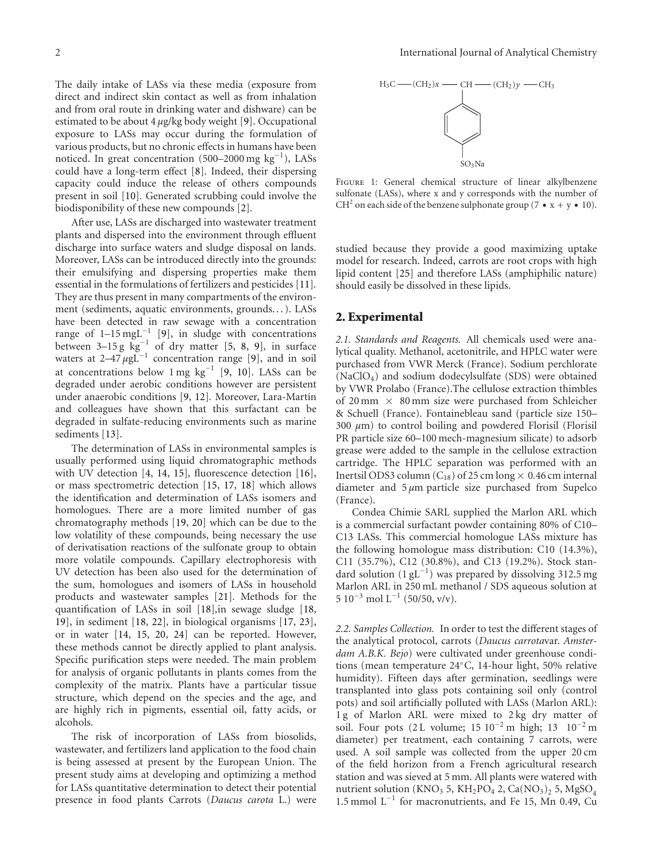The daily intake of LASs via these media (exposure from direct and indirect skin contact as well as from inhalation and from oral route in drinking water and dishware) can be estimated to be about 4 *μ*g/kg body weight [\[9\]](#page-4-9). Occupational exposure to LASs may occur during the formulation of various products, but no chronic effects in humans have been noticed. In great concentration (500–2000 mg kg<sup>-1</sup>), LASs could have a long-term effect [\[8](#page-4-8)]. Indeed, their dispersing capacity could induce the release of others compounds present in soil [\[10\]](#page-4-10)*.* Generated scrubbing could involve the biodisponibility of these new compounds [\[2](#page-4-2)]*.*

After use, LASs are discharged into wastewater treatment plants and dispersed into the environment through effluent discharge into surface waters and sludge disposal on lands. Moreover, LASs can be introduced directly into the grounds: their emulsifying and dispersing properties make them essential in the formulations of fertilizers and pesticides [\[11\]](#page-4-11)*.* They are thus present in many compartments of the environment (sediments, aquatic environments, grounds. . . ). LASs have been detected in raw sewage with a concentration range of  $1-15 \text{ mgL}^{-1}$  [\[9](#page-4-9)], in sludge with concentrations between 3–15 g kg<sup>−</sup><sup>1</sup> of dry matter [\[5](#page-4-5), [8](#page-4-8), [9\]](#page-4-9)*,* in surface waters at 2–47 *μ*gL<sup>-1</sup> concentration range [\[9](#page-4-9)], and in soil at concentrations below 1 mg kg<sup>−</sup><sup>1</sup> [\[9,](#page-4-9) [10](#page-4-10)]. LASs can be degraded under aerobic conditions however are persistent under anaerobic conditions [\[9,](#page-4-9) [12\]](#page-4-12). Moreover, Lara-Martín and colleagues have shown that this surfactant can be degraded in sulfate-reducing environments such as marine sediments [\[13](#page-4-13)].

The determination of LASs in environmental samples is usually performed using liquid chromatographic methods with UV detection [\[4](#page-4-4), [14,](#page-4-14) [15](#page-4-15)], fluorescence detection [\[16\]](#page-4-16), or mass spectrometric detection [\[15,](#page-4-15) [17](#page-4-17), [18\]](#page-4-18) which allows the identification and determination of LASs isomers and homologues. There are a more limited number of gas chromatography methods [\[19](#page-4-19), [20](#page-4-20)] which can be due to the low volatility of these compounds, being necessary the use of derivatisation reactions of the sulfonate group to obtain more volatile compounds. Capillary electrophoresis with UV detection has been also used for the determination of the sum, homologues and isomers of LASs in household products and wastewater samples [\[21](#page-4-21)]*.* Methods for the quantification of LASs in soil [\[18\]](#page-4-18)*,*in sewage sludge [\[18,](#page-4-18) [19](#page-4-19)], in sediment [\[18](#page-4-18), [22](#page-4-22)]*,* in biological organisms [\[17,](#page-4-17) [23\]](#page-4-23), or in water [\[14](#page-4-14), [15](#page-4-15), [20](#page-4-20), [24](#page-4-24)] can be reported. However, these methods cannot be directly applied to plant analysis. Specific purification steps were needed. The main problem for analysis of organic pollutants in plants comes from the complexity of the matrix. Plants have a particular tissue structure, which depend on the species and the age, and are highly rich in pigments, essential oil, fatty acids, or alcohols.

The risk of incorporation of LASs from biosolids, wastewater, and fertilizers land application to the food chain is being assessed at present by the European Union. The present study aims at developing and optimizing a method for LASs quantitative determination to detect their potential presence in food plants Carrots (*Daucus carota* L.) were



<span id="page-1-0"></span>FIGURE 1: General chemical structure of linear alkylbenzene sulfonate (LASs), where x and y corresponds with the number of CH<sup>2</sup> on each side of the benzene sulphonate group (7 •  $x + y$  • 10).

studied because they provide a good maximizing uptake model for research. Indeed, carrots are root crops with high lipid content [\[25\]](#page-5-0) and therefore LASs (amphiphilic nature) should easily be dissolved in these lipids.

#### **2. Experimental**

*2.1. Standards and Reagents.* All chemicals used were analytical quality. Methanol, acetonitrile, and HPLC water were purchased from VWR Merck (France). Sodium perchlorate (NaClO4) and sodium dodecylsulfate (SDS) were obtained by VWR Prolabo (France).The cellulose extraction thimbles of 20 mm  $\times$  80 mm size were purchased from Schleicher & Schuell (France). Fontainebleau sand (particle size 150– 300 *μ*m) to control boiling and powdered Florisil (Florisil PR particle size 60–100 mech-magnesium silicate) to adsorb grease were added to the sample in the cellulose extraction cartridge. The HPLC separation was performed with an Inertsil ODS3 column  $(C_{18})$  of 25 cm long  $\times$  0.46 cm internal diameter and 5 *μ*m particle size purchased from Supelco (France).

Condea Chimie SARL supplied the Marlon ARL which is a commercial surfactant powder containing 80% of C10– C13 LASs. This commercial homologue LASs mixture has the following homologue mass distribution: C10 (14.3%), C11 (35.7%), C12 (30.8%), and C13 (19.2%). Stock standard solution  $(1 gL^{-1})$  was prepared by dissolving 312.5 mg Marlon ARL in 250 mL methanol / SDS aqueous solution at  $5 10^{-3}$  mol L<sup>-1</sup> (50/50, v/v).

*2.2. Samples Collection.* In order to test the different stages of the analytical protocol, carrots (*Daucus carrota*var. *Amsterdam A.B.K. Bejo*) were cultivated under greenhouse conditions (mean temperature 24◦C, 14-hour light, 50% relative humidity). Fifteen days after germination, seedlings were transplanted into glass pots containing soil only (control pots) and soil artificially polluted with LASs (Marlon ARL): 1 g of Marlon ARL were mixed to 2 kg dry matter of soil. Four pots (2 L volume; 15  $10^{-2}$  m high; 13  $10^{-2}$  m diameter) per treatment, each containing 7 carrots, were used. A soil sample was collected from the upper 20 cm of the field horizon from a French agricultural research station and was sieved at 5 mm. All plants were watered with nutrient solution (KNO<sub>3</sub> 5, KH<sub>2</sub>PO<sub>4</sub> 2, Ca(NO<sub>3</sub>)<sub>2</sub> 5, MgSO<sub>4</sub> 1.5 mmol  $L^{-1}$  for macronutrients, and Fe 15, Mn 0.49, Cu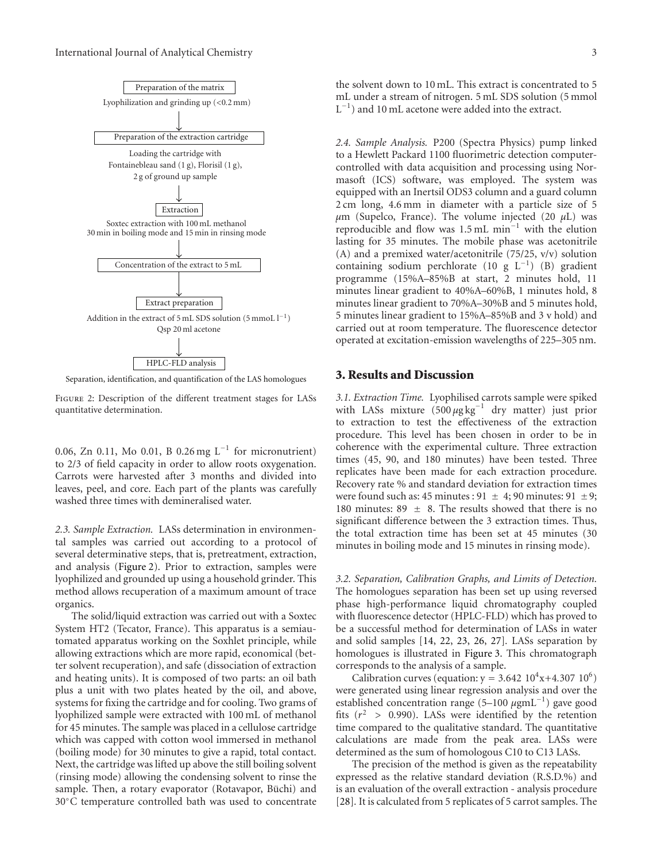

<span id="page-2-0"></span>Separation, identification, and quantification of the LAS homologues

Figure 2: Description of the different treatment stages for LASs quantitative determination.

0.06, Zn 0.11, Mo 0.01, B 0.26 mg L<sup>−</sup><sup>1</sup> for micronutrient) to 2/3 of field capacity in order to allow roots oxygenation. Carrots were harvested after 3 months and divided into leaves, peel, and core. Each part of the plants was carefully washed three times with demineralised water.

*2.3. Sample Extraction.* LASs determination in environmental samples was carried out according to a protocol of several determinative steps, that is, pretreatment, extraction, and analysis [\(Figure 2\)](#page-2-0). Prior to extraction, samples were lyophilized and grounded up using a household grinder. This method allows recuperation of a maximum amount of trace organics.

The solid/liquid extraction was carried out with a Soxtec System HT2 (Tecator, France). This apparatus is a semiautomated apparatus working on the Soxhlet principle, while allowing extractions which are more rapid, economical (better solvent recuperation), and safe (dissociation of extraction and heating units). It is composed of two parts: an oil bath plus a unit with two plates heated by the oil, and above, systems for fixing the cartridge and for cooling. Two grams of lyophilized sample were extracted with 100 mL of methanol for 45 minutes. The sample was placed in a cellulose cartridge which was capped with cotton wool immersed in methanol (boiling mode) for 30 minutes to give a rapid, total contact. Next, the cartridge was lifted up above the still boiling solvent (rinsing mode) allowing the condensing solvent to rinse the sample. Then, a rotary evaporator (Rotavapor, Büchi) and 30◦C temperature controlled bath was used to concentrate

the solvent down to 10 mL. This extract is concentrated to 5 mL under a stream of nitrogen. 5 mL SDS solution (5 mmol L<sup>−</sup><sup>1</sup> ) and 10 mL acetone were added into the extract.

*2.4. Sample Analysis.* P200 (Spectra Physics) pump linked to a Hewlett Packard 1100 fluorimetric detection computercontrolled with data acquisition and processing using Normasoft (ICS) software, was employed. The system was equipped with an Inertsil ODS3 column and a guard column 2 cm long, 4.6 mm in diameter with a particle size of 5 *μ*m (Supelco, France). The volume injected (20 *μ*L) was reproducible and flow was 1.5 mL min<sup>−</sup><sup>1</sup> with the elution lasting for 35 minutes. The mobile phase was acetonitrile (A) and a premixed water/acetonitrile (75/25, v/v) solution containing sodium perchlorate (10 g L<sup>−</sup><sup>1</sup> ) (B) gradient programme (15%A–85%B at start, 2 minutes hold, 11 minutes linear gradient to 40%A–60%B, 1 minutes hold, 8 minutes linear gradient to 70%A–30%B and 5 minutes hold, 5 minutes linear gradient to 15%A–85%B and 3 v hold) and carried out at room temperature. The fluorescence detector operated at excitation-emission wavelengths of 225–305 nm.

#### **3. Results and Discussion**

*3.1. Extraction Time.* Lyophilised carrots sample were spiked with LASs mixture (500 μg kg<sup>-1</sup> dry matter) just prior to extraction to test the effectiveness of the extraction procedure. This level has been chosen in order to be in coherence with the experimental culture. Three extraction times (45, 90, and 180 minutes) have been tested. Three replicates have been made for each extraction procedure. Recovery rate % and standard deviation for extraction times were found such as:  $45$  minutes :  $91 \pm 4$ ;  $90$  minutes:  $91 \pm 9$ ; 180 minutes:  $89 \pm 8$ . The results showed that there is no significant difference between the 3 extraction times. Thus, the total extraction time has been set at 45 minutes (30 minutes in boiling mode and 15 minutes in rinsing mode).

*3.2. Separation, Calibration Graphs, and Limits of Detection.* The homologues separation has been set up using reversed phase high-performance liquid chromatography coupled with fluorescence detector (HPLC-FLD) which has proved to be a successful method for determination of LASs in water and solid samples [\[14](#page-4-14), [22](#page-4-22), [23,](#page-4-23) [26](#page-5-1), [27\]](#page-5-2)*.* LASs separation by homologues is illustrated in [Figure 3.](#page-3-0) This chromatograph corresponds to the analysis of a sample.

Calibration curves (equation:  $y = 3.642 \, 10^4 x + 4.307 \, 10^6$ ) were generated using linear regression analysis and over the established concentration range (5–100 *μ*gmL<sup>−</sup><sup>1</sup> ) gave good fits  $(r^2 > 0.990)$ . LASs were identified by the retention time compared to the qualitative standard. The quantitative calculations are made from the peak area. LASs were determined as the sum of homologous C10 to C13 LASs.

The precision of the method is given as the repeatability expressed as the relative standard deviation (R.S.D.%) and is an evaluation of the overall extraction - analysis procedure [\[28\]](#page-5-3)*.* It is calculated from 5 replicates of 5 carrot samples. The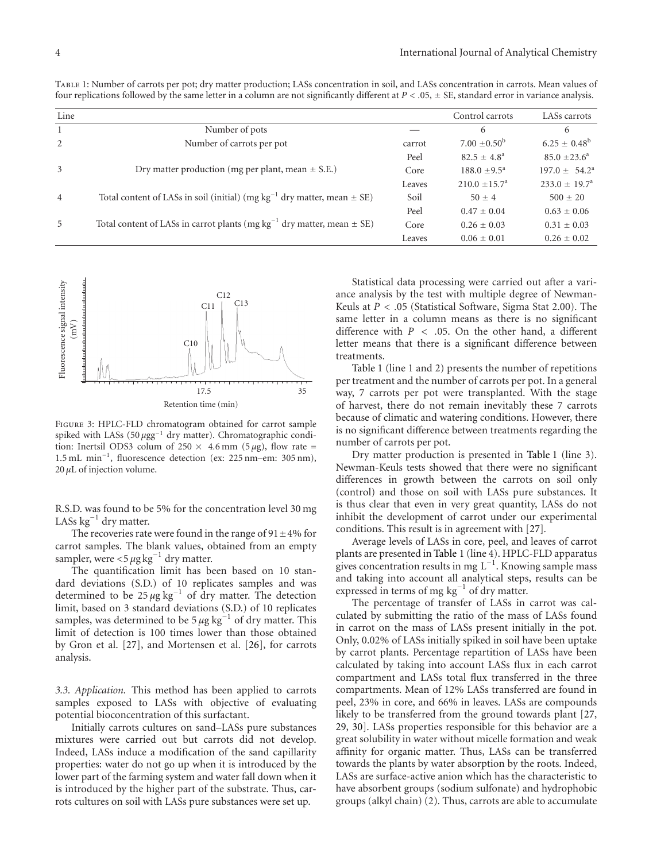<span id="page-3-1"></span>

| TABLE 1: Number of carrots per pot; dry matter production; LASs concentration in soil, and LASs concentration in carrots. Mean values of                |  |
|---------------------------------------------------------------------------------------------------------------------------------------------------------|--|
| four replications followed by the same letter in a column are not significantly different at $P < .05$ , $\pm$ SE, standard error in variance analysis. |  |

| Line           |                                                                                  |        | Control carrots            | LASs carrots             |
|----------------|----------------------------------------------------------------------------------|--------|----------------------------|--------------------------|
| 1              | Number of pots                                                                   |        | 6                          | 6                        |
| 2              | Number of carrots per pot                                                        | carrot | $7.00 \pm 0.50^b$          | $6.25 \pm 0.48^b$        |
|                |                                                                                  | Peel   | $82.5 \pm 4.8^{\circ}$     | $85.0 \pm 23.6^{\circ}$  |
| 3              | Dry matter production (mg per plant, mean $\pm$ S.E.)                            | Core   | $188.0 \pm 9.5^{\text{a}}$ | $197.0 \pm 54.2^{\circ}$ |
|                |                                                                                  | Leaves | $210.0 \pm 15.7^{\circ}$   | $233.0 \pm 19.7^{\circ}$ |
| $\overline{4}$ | Total content of LASs in soil (initial) (mg $kg^{-1}$ dry matter, mean $\pm$ SE) | Soil   | $50 + 4$                   | $500 \pm 20$             |
|                |                                                                                  | Peel   | $0.47 \pm 0.04$            | $0.63 \pm 0.06$          |
| 5              | Total content of LASs in carrot plants (mg $kg^{-1}$ dry matter, mean $\pm$ SE)  | Core   | $0.26 \pm 0.03$            | $0.31 \pm 0.03$          |
|                |                                                                                  | Leaves | $0.06 \pm 0.01$            | $0.26 \pm 0.02$          |



<span id="page-3-0"></span>Figure 3: HPLC-FLD chromatogram obtained for carrot sample spiked with LASs (50 *μ*gg<sup>−</sup><sup>1</sup> dry matter). Chromatographic condition: Inertsil ODS3 colum of  $250 \times 4.6$  mm ( $5 \mu$ g), flow rate = 1.5 mL min<sup>−</sup><sup>1</sup> , fluorescence detection (ex: 225 nm–em: 305 nm),  $20 \mu L$  of injection volume.

R.S.D. was found to be 5% for the concentration level 30 mg LASs  $kg^{-1}$  dry matter.

The recoveries rate were found in the range of  $91 \pm 4\%$  for carrot samples. The blank values, obtained from an empty sampler, were  $\lt 5 \mu g kg^{-1}$  dry matter.

The quantification limit has been based on 10 standard deviations (S.D.) of 10 replicates samples and was determined to be 25 *μ*g kg<sup>−</sup><sup>1</sup> of dry matter. The detection limit, based on 3 standard deviations (S.D.) of 10 replicates samples, was determined to be 5 *μ*g kg<sup>-1</sup> of dry matter. This limit of detection is 100 times lower than those obtained by Gron et al. [\[27\]](#page-5-2), and Mortensen et al. [\[26](#page-5-1)], for carrots analysis.

*3.3. Application.* This method has been applied to carrots samples exposed to LASs with objective of evaluating potential bioconcentration of this surfactant.

Initially carrots cultures on sand–LASs pure substances mixtures were carried out but carrots did not develop. Indeed, LASs induce a modification of the sand capillarity properties: water do not go up when it is introduced by the lower part of the farming system and water fall down when it is introduced by the higher part of the substrate. Thus, carrots cultures on soil with LASs pure substances were set up.

Statistical data processing were carried out after a variance analysis by the test with multiple degree of Newman-Keuls at  $P < .05$  (Statistical Software, Sigma Stat 2.00). The same letter in a column means as there is no significant difference with  $P < .05$ . On the other hand, a different letter means that there is a significant difference between treatments.

[Table 1](#page-3-1) (line 1 and 2) presents the number of repetitions per treatment and the number of carrots per pot. In a general way, 7 carrots per pot were transplanted. With the stage of harvest, there do not remain inevitably these 7 carrots because of climatic and watering conditions. However, there is no significant difference between treatments regarding the number of carrots per pot.

Dry matter production is presented in [Table 1](#page-3-1) (line 3). Newman-Keuls tests showed that there were no significant differences in growth between the carrots on soil only (control) and those on soil with LASs pure substances. It is thus clear that even in very great quantity, LASs do not inhibit the development of carrot under our experimental conditions. This result is in agreement with [\[27](#page-5-2)]*.*

Average levels of LASs in core, peel, and leaves of carrot plants are presented in [Table 1](#page-3-1) (line 4). HPLC-FLD apparatus gives concentration results in mg  $L^{-1}$ . Knowing sample mass and taking into account all analytical steps, results can be expressed in terms of mg kg<sup>−</sup><sup>1</sup> of dry matter.

The percentage of transfer of LASs in carrot was calculated by submitting the ratio of the mass of LASs found in carrot on the mass of LASs present initially in the pot. Only, 0.02% of LASs initially spiked in soil have been uptake by carrot plants. Percentage repartition of LASs have been calculated by taking into account LASs flux in each carrot compartment and LASs total flux transferred in the three compartments. Mean of 12% LASs transferred are found in peel, 23% in core, and 66% in leaves. LASs are compounds likely to be transferred from the ground towards plant [\[27](#page-5-2), [29](#page-5-4), [30](#page-5-5)]. LASs properties responsible for this behavior are a great solubility in water without micelle formation and weak affinity for organic matter. Thus, LASs can be transferred towards the plants by water absorption by the roots. Indeed, LASs are surface-active anion which has the characteristic to have absorbent groups (sodium sulfonate) and hydrophobic groups (alkyl chain) (2)*.* Thus, carrots are able to accumulate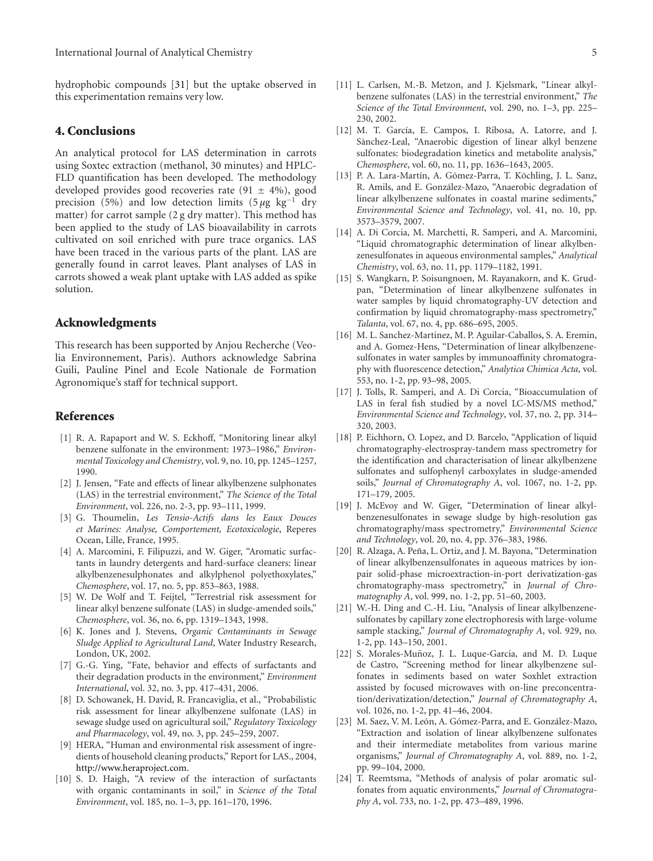hydrophobic compounds [\[31](#page-5-6)] but the uptake observed in this experimentation remains very low.

#### **4. Conclusions**

An analytical protocol for LAS determination in carrots using Soxtec extraction (methanol, 30 minutes) and HPLC-FLD quantification has been developed. The methodology developed provides good recoveries rate  $(91 \pm 4\%)$ , good precision (5%) and low detection limits (5 *μ*g kg<sup>−</sup><sup>1</sup> dry matter) for carrot sample (2 g dry matter). This method has been applied to the study of LAS bioavailability in carrots cultivated on soil enriched with pure trace organics. LAS have been traced in the various parts of the plant. LAS are generally found in carrot leaves. Plant analyses of LAS in carrots showed a weak plant uptake with LAS added as spike solution.

#### **Acknowledgments**

This research has been supported by Anjou Recherche (Veolia Environnement, Paris). Authors acknowledge Sabrina Guili, Pauline Pinel and Ecole Nationale de Formation Agronomique's staff for technical support.

#### <span id="page-4-0"></span>**References**

- <span id="page-4-1"></span>[1] R. A. Rapaport and W. S. Eckhoff, "Monitoring linear alkyl benzene sulfonate in the environment: 1973–1986," *Environmental Toxicology and Chemistry*, vol. 9, no. 10, pp. 1245–1257, 1990.
- <span id="page-4-2"></span>[2] J. Jensen, "Fate and effects of linear alkylbenzene sulphonates (LAS) in the terrestrial environment," *The Science of the Total Environment*, vol. 226, no. 2-3, pp. 93–111, 1999.
- <span id="page-4-3"></span>[3] G. Thoumelin, *Les Tensio-Actifs dans les Eaux Douces et Marines: Analyse, Comportement, Ecotoxicologie*, Reperes Ocean, Lille, France, 1995.
- <span id="page-4-4"></span>[4] A. Marcomini, F. Filipuzzi, and W. Giger, "Aromatic surfactants in laundry detergents and hard-surface cleaners: linear alkylbenzenesulphonates and alkylphenol polyethoxylates," *Chemosphere*, vol. 17, no. 5, pp. 853–863, 1988.
- <span id="page-4-5"></span>[5] W. De Wolf and T. Feijtel, "Terrestrial risk assessment for linear alkyl benzene sulfonate (LAS) in sludge-amended soils," *Chemosphere*, vol. 36, no. 6, pp. 1319–1343, 1998.
- <span id="page-4-6"></span>[6] K. Jones and J. Stevens, *Organic Contaminants in Sewage Sludge Applied to Agricultural Land*, Water Industry Research, London, UK, 2002.
- <span id="page-4-7"></span>[7] G.-G. Ying, "Fate, behavior and effects of surfactants and their degradation products in the environment," *Environment International*, vol. 32, no. 3, pp. 417–431, 2006.
- <span id="page-4-8"></span>[8] D. Schowanek, H. David, R. Francaviglia, et al., "Probabilistic risk assessment for linear alkylbenzene sulfonate (LAS) in sewage sludge used on agricultural soil," *Regulatory Toxicology and Pharmacology*, vol. 49, no. 3, pp. 245–259, 2007.
- <span id="page-4-9"></span>[9] HERA, "Human and environmental risk assessment of ingredients of household cleaning products," Report for LAS., 2004, [http://www.heraproject.com.](http://www.heraproject.com)
- <span id="page-4-10"></span>[10] S. D. Haigh, "A review of the interaction of surfactants with organic contaminants in soil," in *Science of the Total Environment*, vol. 185, no. 1–3, pp. 161–170, 1996.
- <span id="page-4-11"></span>[11] L. Carlsen, M.-B. Metzon, and J. Kjelsmark, "Linear alkylbenzene sulfonates (LAS) in the terrestrial environment," *The Science of the Total Environment*, vol. 290, no. 1–3, pp. 225– 230, 2002.
- <span id="page-4-12"></span>[12] M. T. García, E. Campos, I. Ribosa, A. Latorre, and J. Sànchez-Leal, "Anaerobic digestion of linear alkyl benzene sulfonates: biodegradation kinetics and metabolite analysis," *Chemosphere*, vol. 60, no. 11, pp. 1636–1643, 2005.
- <span id="page-4-13"></span>[13] P. A. Lara-Martín, A. Gómez-Parra, T. Köchling, J. L. Sanz, R. Amils, and E. González-Mazo, "Anaerobic degradation of linear alkylbenzene sulfonates in coastal marine sediments," *Environmental Science and Technology*, vol. 41, no. 10, pp. 3573–3579, 2007.
- <span id="page-4-14"></span>[14] A. Di Corcia, M. Marchetti, R. Samperi, and A. Marcomini, "Liquid chromatographic determination of linear alkylbenzenesulfonates in aqueous environmental samples," *Analytical Chemistry*, vol. 63, no. 11, pp. 1179–1182, 1991.
- <span id="page-4-15"></span>[15] S. Wangkarn, P. Soisungnoen, M. Rayanakorn, and K. Grudpan, "Determination of linear alkylbenzene sulfonates in water samples by liquid chromatography-UV detection and confirmation by liquid chromatography-mass spectrometry," *Talanta*, vol. 67, no. 4, pp. 686–695, 2005.
- <span id="page-4-16"></span>[16] M. L. Sanchez-Martinez, M. P. Aguilar-Caballos, S. A. Eremin, and A. Gomez-Hens, "Determination of linear alkylbenzenesulfonates in water samples by immunoaffinity chromatography with fluorescence detection," *Analytica Chimica Acta*, vol. 553, no. 1-2, pp. 93–98, 2005.
- <span id="page-4-17"></span>[17] J. Tolls, R. Samperi, and A. Di Corcia, "Bioaccumulation of LAS in feral fish studied by a novel LC-MS/MS method," *Environmental Science and Technology*, vol. 37, no. 2, pp. 314– 320, 2003.
- <span id="page-4-18"></span>[18] P. Eichhorn, O. Lopez, and D. Barcelo, "Application of liquid chromatography-electrospray-tandem mass spectrometry for the identification and characterisation of linear alkylbenzene sulfonates and sulfophenyl carboxylates in sludge-amended soils," *Journal of Chromatography A*, vol. 1067, no. 1-2, pp. 171–179, 2005.
- <span id="page-4-19"></span>[19] J. McEvoy and W. Giger, "Determination of linear alkylbenzenesulfonates in sewage sludge by high-resolution gas chromatography/mass spectrometry," *Environmental Science and Technology*, vol. 20, no. 4, pp. 376–383, 1986.
- <span id="page-4-20"></span>[20] R. Alzaga, A. Peña, L. Ortiz, and J. M. Bayona, "Determination of linear alkylbenzensulfonates in aqueous matrices by ionpair solid-phase microextraction-in-port derivatization-gas chromatography-mass spectrometry," in *Journal of Chromatography A*, vol. 999, no. 1-2, pp. 51–60, 2003.
- <span id="page-4-21"></span>[21] W.-H. Ding and C.-H. Liu, "Analysis of linear alkylbenzenesulfonates by capillary zone electrophoresis with large-volume sample stacking," *Journal of Chromatography A*, vol. 929, no. 1-2, pp. 143–150, 2001.
- <span id="page-4-22"></span>[22] S. Morales-Muñoz, J. L. Luque-García, and M. D. Luque de Castro, "Screening method for linear alkylbenzene sulfonates in sediments based on water Soxhlet extraction assisted by focused microwaves with on-line preconcentration/derivatization/detection," *Journal of Chromatography A*, vol. 1026, no. 1-2, pp. 41–46, 2004.
- <span id="page-4-23"></span>[23] M. Saez, V. M. León, A. Gómez-Parra, and E. González-Mazo, "Extraction and isolation of linear alkylbenzene sulfonates and their intermediate metabolites from various marine organisms," *Journal of Chromatography A*, vol. 889, no. 1-2, pp. 99–104, 2000.
- <span id="page-4-24"></span>[24] T. Reemtsma, "Methods of analysis of polar aromatic sulfonates from aquatic environments," *Journal of Chromatography A*, vol. 733, no. 1-2, pp. 473–489, 1996.